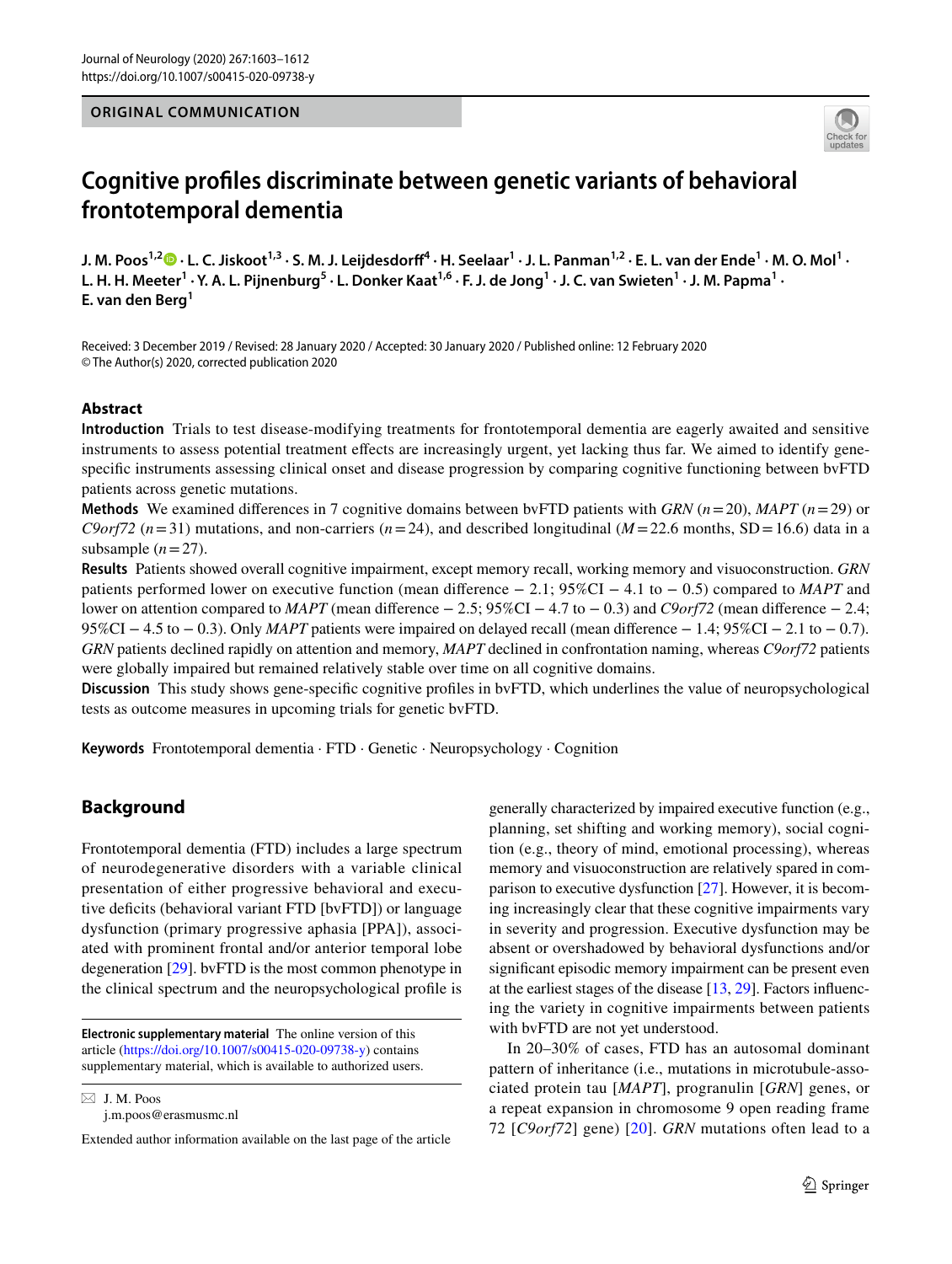#### **ORIGINAL COMMUNICATION**



# **Cognitive profles discriminate between genetic variants of behavioral frontotemporal dementia**

J. M. Poos<sup>1,2</sup> D  $\cdot$  L. C. Jiskoot<sup>1,3</sup>  $\cdot$  S. M. J. Leijdesdorff $^4$   $\cdot$  H. Seelaar $^1$   $\cdot$  J. L. Panman $^{1,2}$   $\cdot$  E. L. van der Ende $^1$   $\cdot$  M. O. Mol $^1$   $\cdot$ L. H. H. Meeter<sup>1</sup> · Y. A. L. Pijnenburg<sup>5</sup> · L. Donker Kaat<sup>1,6</sup> · F. J. de Jong<sup>1</sup> · J. C. van Swieten<sup>1</sup> · J. M. Papma<sup>1</sup> · **E. van den Berg<sup>1</sup>**

Received: 3 December 2019 / Revised: 28 January 2020 / Accepted: 30 January 2020 / Published online: 12 February 2020 © The Author(s) 2020, corrected publication 2020

#### **Abstract**

**Introduction** Trials to test disease-modifying treatments for frontotemporal dementia are eagerly awaited and sensitive instruments to assess potential treatment efects are increasingly urgent, yet lacking thus far. We aimed to identify genespecific instruments assessing clinical onset and disease progression by comparing cognitive functioning between bvFTD patients across genetic mutations.

**Methods** We examined diferences in 7 cognitive domains between bvFTD patients with *GRN* (*n*=20), *MAPT* (*n*=29) or *C9orf72* ( $n=31$ ) mutations, and non-carriers ( $n=24$ ), and described longitudinal ( $M=22.6$  months, SD = 16.6) data in a subsample  $(n=27)$ .

**Results** Patients showed overall cognitive impairment, except memory recall, working memory and visuoconstruction. *GRN* patients performed lower on executive function (mean diference − 2.1; 95%CI − 4.1 to − 0.5) compared to *MAPT* and lower on attention compared to *MAPT* (mean diference − 2.5; 95%CI − 4.7 to − 0.3) and *C9orf72* (mean diference − 2.4; 95%CI − 4.5 to − 0.3). Only *MAPT* patients were impaired on delayed recall (mean difference − 1.4; 95%CI − 2.1 to − 0.7). *GRN* patients declined rapidly on attention and memory, *MAPT* declined in confrontation naming, whereas *C9orf72* patients were globally impaired but remained relatively stable over time on all cognitive domains.

**Discussion** This study shows gene-specifc cognitive profles in bvFTD, which underlines the value of neuropsychological tests as outcome measures in upcoming trials for genetic bvFTD.

**Keywords** Frontotemporal dementia · FTD · Genetic · Neuropsychology · Cognition

# **Background**

Frontotemporal dementia (FTD) includes a large spectrum of neurodegenerative disorders with a variable clinical presentation of either progressive behavioral and executive defcits (behavioral variant FTD [bvFTD]) or language dysfunction (primary progressive aphasia [PPA]), associated with prominent frontal and/or anterior temporal lobe degeneration [[29\]](#page-8-0). bvFTD is the most common phenotype in the clinical spectrum and the neuropsychological profle is

 $\boxtimes$  J. M. Poos j.m.poos@erasmusmc.nl generally characterized by impaired executive function (e.g., planning, set shifting and working memory), social cognition (e.g., theory of mind, emotional processing), whereas memory and visuoconstruction are relatively spared in comparison to executive dysfunction [[27\]](#page-8-1). However, it is becoming increasingly clear that these cognitive impairments vary in severity and progression. Executive dysfunction may be absent or overshadowed by behavioral dysfunctions and/or signifcant episodic memory impairment can be present even at the earliest stages of the disease [\[13](#page-8-2), [29\]](#page-8-0). Factors infuencing the variety in cognitive impairments between patients with bvFTD are not yet understood.

In 20–30% of cases, FTD has an autosomal dominant pattern of inheritance (i.e., mutations in microtubule-associated protein tau [*MAPT*], progranulin [*GRN*] genes, or a repeat expansion in chromosome 9 open reading frame 72 [*C9orf72*] gene) [[20](#page-8-3)]. *GRN* mutations often lead to a

**Electronic supplementary material** The online version of this article [\(https://doi.org/10.1007/s00415-020-09738-y\)](https://doi.org/10.1007/s00415-020-09738-y) contains supplementary material, which is available to authorized users.

Extended author information available on the last page of the article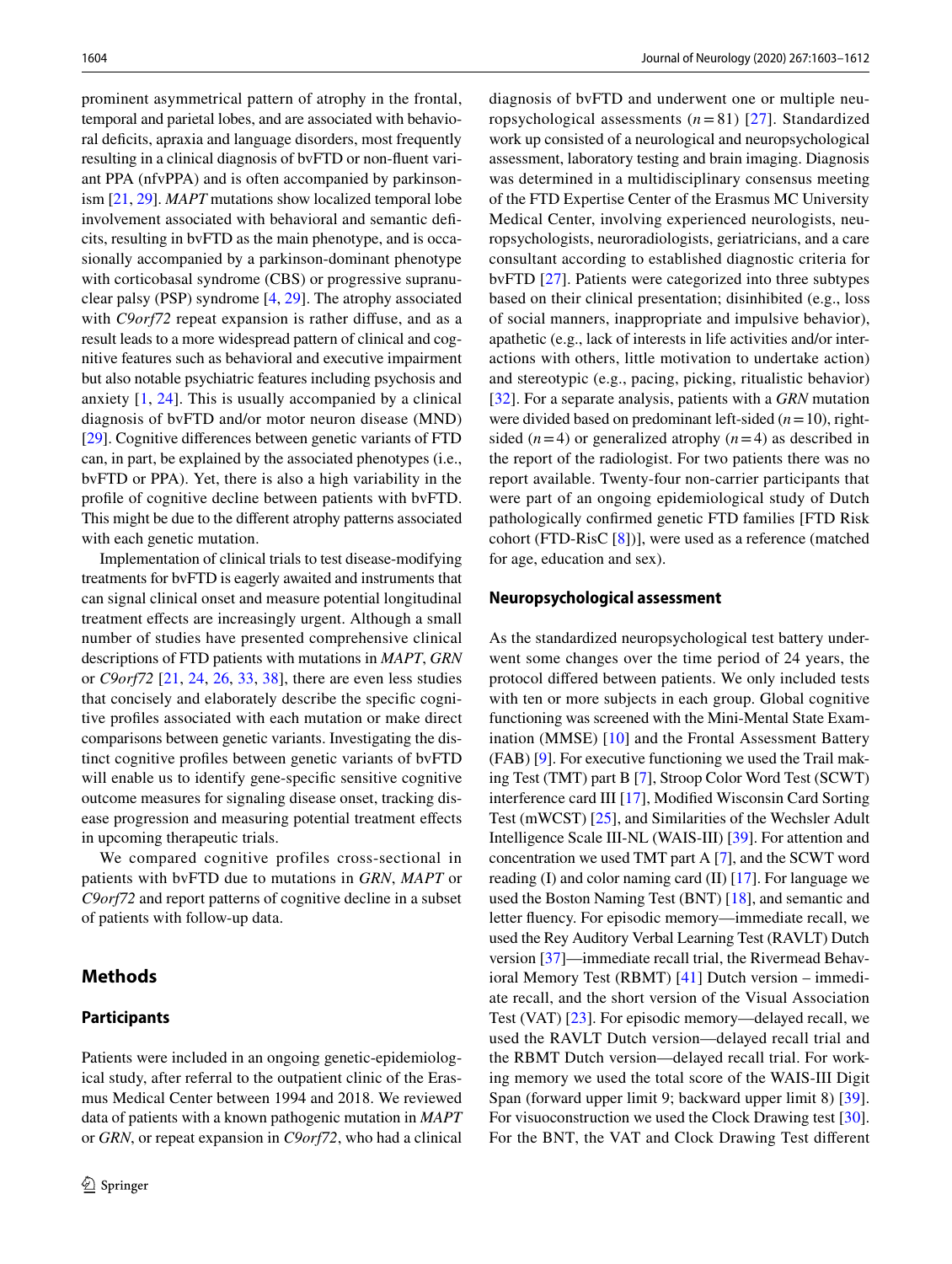prominent asymmetrical pattern of atrophy in the frontal, temporal and parietal lobes, and are associated with behavioral deficits, apraxia and language disorders, most frequently resulting in a clinical diagnosis of bvFTD or non-fuent variant PPA (nfvPPA) and is often accompanied by parkinsonism [[21,](#page-8-4) [29\]](#page-8-0). *MAPT* mutations show localized temporal lobe involvement associated with behavioral and semantic defcits, resulting in bvFTD as the main phenotype, and is occasionally accompanied by a parkinson-dominant phenotype with corticobasal syndrome (CBS) or progressive supranuclear palsy (PSP) syndrome [\[4](#page-8-5), [29](#page-8-0)]. The atrophy associated with *C9orf72* repeat expansion is rather diffuse, and as a result leads to a more widespread pattern of clinical and cognitive features such as behavioral and executive impairment but also notable psychiatric features including psychosis and anxiety [[1,](#page-7-0) [24\]](#page-8-6). This is usually accompanied by a clinical diagnosis of bvFTD and/or motor neuron disease (MND) [\[29](#page-8-0)]. Cognitive diferences between genetic variants of FTD can, in part, be explained by the associated phenotypes (i.e., bvFTD or PPA). Yet, there is also a high variability in the profle of cognitive decline between patients with bvFTD. This might be due to the diferent atrophy patterns associated with each genetic mutation.

Implementation of clinical trials to test disease-modifying treatments for bvFTD is eagerly awaited and instruments that can signal clinical onset and measure potential longitudinal treatment efects are increasingly urgent. Although a small number of studies have presented comprehensive clinical descriptions of FTD patients with mutations in *MAPT*, *GRN* or *C9orf72* [\[21,](#page-8-4) [24](#page-8-6), [26,](#page-8-7) [33,](#page-8-8) [38](#page-9-0)], there are even less studies that concisely and elaborately describe the specifc cognitive profles associated with each mutation or make direct comparisons between genetic variants. Investigating the distinct cognitive profles between genetic variants of bvFTD will enable us to identify gene-specific sensitive cognitive outcome measures for signaling disease onset, tracking disease progression and measuring potential treatment effects in upcoming therapeutic trials.

We compared cognitive profiles cross-sectional in patients with bvFTD due to mutations in *GRN*, *MAPT* or *C9orf72* and report patterns of cognitive decline in a subset of patients with follow-up data.

## **Methods**

#### **Participants**

Patients were included in an ongoing genetic-epidemiological study, after referral to the outpatient clinic of the Erasmus Medical Center between 1994 and 2018. We reviewed data of patients with a known pathogenic mutation in *MAPT* or *GRN*, or repeat expansion in *C9orf72*, who had a clinical diagnosis of bvFTD and underwent one or multiple neuropsychological assessments (*n*=81) [[27](#page-8-1)]. Standardized work up consisted of a neurological and neuropsychological assessment, laboratory testing and brain imaging. Diagnosis was determined in a multidisciplinary consensus meeting of the FTD Expertise Center of the Erasmus MC University Medical Center, involving experienced neurologists, neuropsychologists, neuroradiologists, geriatricians, and a care consultant according to established diagnostic criteria for bvFTD [\[27](#page-8-1)]. Patients were categorized into three subtypes based on their clinical presentation; disinhibited (e.g., loss of social manners, inappropriate and impulsive behavior), apathetic (e.g., lack of interests in life activities and/or interactions with others, little motivation to undertake action) and stereotypic (e.g., pacing, picking, ritualistic behavior) [[32\]](#page-8-9). For a separate analysis, patients with a *GRN* mutation were divided based on predominant left-sided (*n*=10), rightsided  $(n=4)$  or generalized atrophy  $(n=4)$  as described in the report of the radiologist. For two patients there was no report available. Twenty-four non-carrier participants that were part of an ongoing epidemiological study of Dutch pathologically confrmed genetic FTD families [FTD Risk cohort (FTD-RisC [\[8\]](#page-8-10))], were used as a reference (matched for age, education and sex).

#### <span id="page-1-0"></span>**Neuropsychological assessment**

As the standardized neuropsychological test battery underwent some changes over the time period of 24 years, the protocol difered between patients. We only included tests with ten or more subjects in each group. Global cognitive functioning was screened with the Mini-Mental State Examination (MMSE) [[10\]](#page-8-11) and the Frontal Assessment Battery (FAB) [\[9](#page-8-12)]. For executive functioning we used the Trail making Test (TMT) part B [\[7](#page-8-13)], Stroop Color Word Test (SCWT) interference card III [\[17](#page-8-14)], Modifed Wisconsin Card Sorting Test (mWCST) [[25\]](#page-8-15), and Similarities of the Wechsler Adult Intelligence Scale III-NL (WAIS-III) [\[39](#page-9-1)]. For attention and concentration we used TMT part A [\[7](#page-8-13)], and the SCWT word reading (I) and color naming card (II)  $[17]$  $[17]$ . For language we used the Boston Naming Test (BNT) [\[18](#page-8-16)], and semantic and letter fuency. For episodic memory—immediate recall, we used the Rey Auditory Verbal Learning Test (RAVLT) Dutch version [\[37](#page-9-2)]—immediate recall trial, the Rivermead Behavioral Memory Test (RBMT) [\[41](#page-9-3)] Dutch version – immediate recall, and the short version of the Visual Association Test (VAT) [\[23](#page-8-17)]. For episodic memory—delayed recall, we used the RAVLT Dutch version—delayed recall trial and the RBMT Dutch version—delayed recall trial. For working memory we used the total score of the WAIS-III Digit Span (forward upper limit 9; backward upper limit 8) [\[39](#page-9-1)]. For visuoconstruction we used the Clock Drawing test [\[30](#page-8-18)]. For the BNT, the VAT and Clock Drawing Test diferent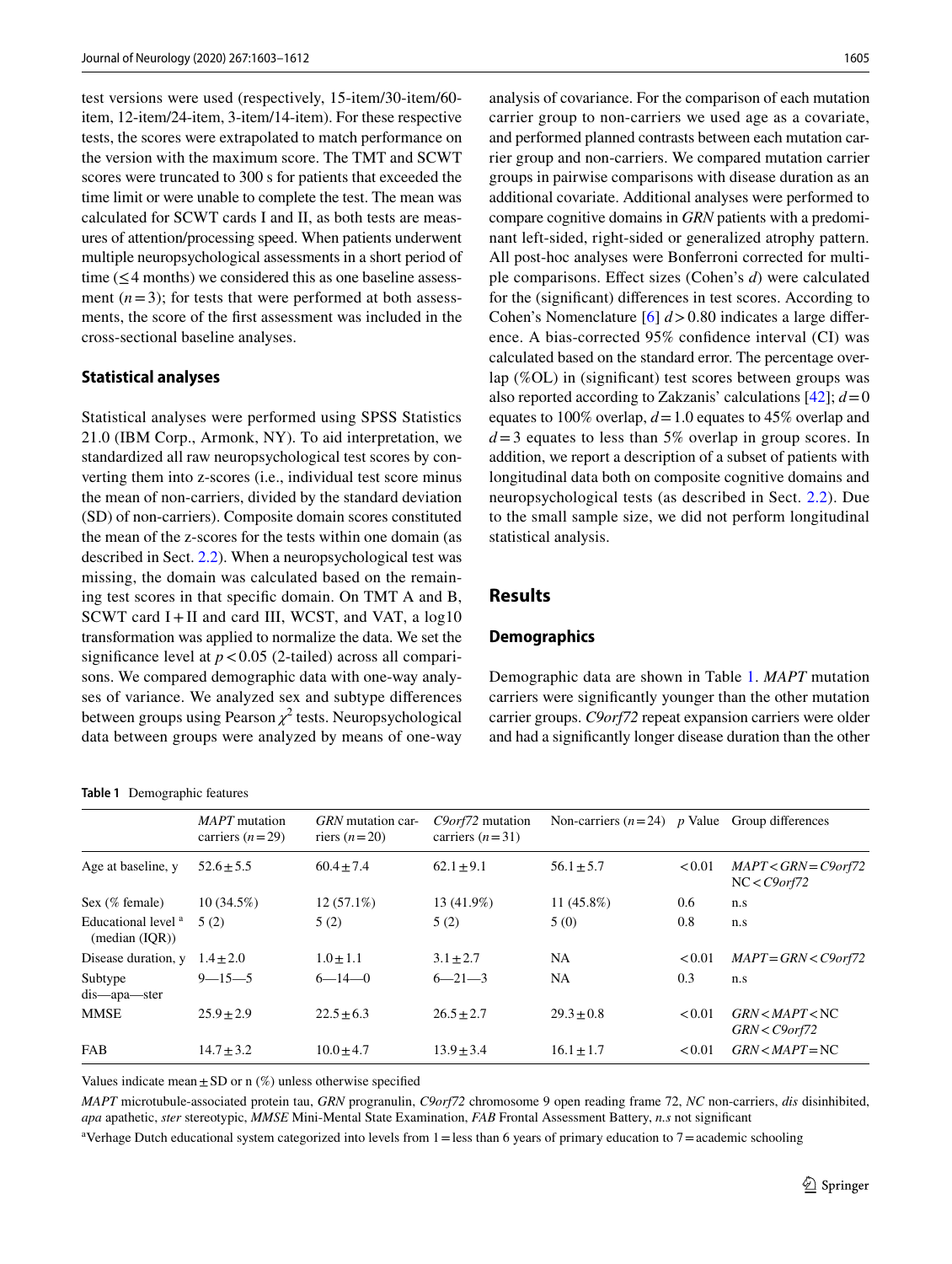test versions were used (respectively, 15-item/30-item/60 item, 12-item/24-item, 3-item/14-item). For these respective tests, the scores were extrapolated to match performance on the version with the maximum score. The TMT and SCWT scores were truncated to 300 s for patients that exceeded the time limit or were unable to complete the test. The mean was calculated for SCWT cards I and II, as both tests are measures of attention/processing speed. When patients underwent multiple neuropsychological assessments in a short period of time (≤4 months) we considered this as one baseline assessment  $(n=3)$ ; for tests that were performed at both assessments, the score of the frst assessment was included in the cross-sectional baseline analyses.

#### **Statistical analyses**

Statistical analyses were performed using SPSS Statistics 21.0 (IBM Corp., Armonk, NY). To aid interpretation, we standardized all raw neuropsychological test scores by converting them into z-scores (i.e., individual test score minus the mean of non-carriers, divided by the standard deviation (SD) of non-carriers). Composite domain scores constituted the mean of the z-scores for the tests within one domain (as described in Sect. [2.2](#page-1-0)). When a neuropsychological test was missing, the domain was calculated based on the remaining test scores in that specifc domain. On TMT A and B, SCWT card I+II and card III, WCST, and VAT, a log10 transformation was applied to normalize the data. We set the significance level at  $p < 0.05$  (2-tailed) across all comparisons. We compared demographic data with one-way analyses of variance. We analyzed sex and subtype diferences between groups using Pearson  $\chi^2$  tests. Neuropsychological data between groups were analyzed by means of one-way

#### <span id="page-2-0"></span>**Table 1** Demographic features

analysis of covariance. For the comparison of each mutation carrier group to non-carriers we used age as a covariate, and performed planned contrasts between each mutation carrier group and non-carriers. We compared mutation carrier groups in pairwise comparisons with disease duration as an additional covariate. Additional analyses were performed to compare cognitive domains in *GRN* patients with a predominant left-sided, right-sided or generalized atrophy pattern. All post-hoc analyses were Bonferroni corrected for multiple comparisons. Efect sizes (Cohen's *d*) were calculated for the (signifcant) diferences in test scores. According to Cohen's Nomenclature [[6\]](#page-8-19) *d*>0.80 indicates a large diference. A bias-corrected 95% confdence interval (CI) was calculated based on the standard error. The percentage overlap (%OL) in (signifcant) test scores between groups was also reported according to Zakzanis' calculations  $[42]$  $[42]$ ;  $d=0$ equates to 100% overlap, *d*=1.0 equates to 45% overlap and *d*=3 equates to less than 5% overlap in group scores. In addition, we report a description of a subset of patients with longitudinal data both on composite cognitive domains and neuropsychological tests (as described in Sect. [2.2\)](#page-1-0). Due to the small sample size, we did not perform longitudinal statistical analysis.

#### **Results**

#### **Demographics**

Demographic data are shown in Table [1](#page-2-0). *MAPT* mutation carriers were signifcantly younger than the other mutation carrier groups. *C9orf72* repeat expansion carriers were older and had a signifcantly longer disease duration than the other

|                                                  | MAPT mutation<br>carriers $(n=29)$ | GRN mutation car-<br>riers $(n=20)$ | C9orf72 mutation<br>carriers $(n=31)$ | Non-carriers $(n=24)$ p Value Group differences |        |                                           |
|--------------------------------------------------|------------------------------------|-------------------------------------|---------------------------------------|-------------------------------------------------|--------|-------------------------------------------|
| Age at baseline, y                               | $52.6 \pm 5.5$                     | $60.4 + 7.4$                        | $62.1 + 9.1$                          | $56.1 \pm 5.7$                                  | < 0.01 | $MAPT < GRN = C9$ orf72<br>$NC <$ C9orf72 |
| Sex (% female)                                   | $10(34.5\%)$                       | $12(57.1\%)$                        | 13 (41.9%)                            | 11 $(45.8\%)$                                   | 0.6    | n.s                                       |
| Educational level <sup>a</sup><br>(median (IQR)) | 5(2)                               | 5(2)                                | 5(2)                                  | 5(0)                                            | 0.8    | n.s                                       |
| Disease duration, y                              | $1.4 \pm 2.0$                      | $1.0 \pm 1.1$                       | $3.1 \pm 2.7$                         | <b>NA</b>                                       | < 0.01 | $MAPT = GRN < C9$ orf72                   |
| Subtype<br>dis—apa—ster                          | $9 - 15 - 5$                       | $6 - 14 - 0$                        | $6 - 21 - 3$                          | <b>NA</b>                                       | 0.3    | n.s                                       |
| <b>MMSE</b>                                      | $25.9 + 2.9$                       | $22.5 + 6.3$                        | $26.5 + 2.7$                          | $29.3 + 0.8$                                    | < 0.01 | GRN < MAPT < NC<br>$GRN < C9$ orf $72$    |
| <b>FAB</b>                                       | $14.7 + 3.2$                       | $10.0 + 4.7$                        | $13.9 + 3.4$                          | $16.1 \pm 1.7$                                  | < 0.01 | $GRN < MAPT = NC$                         |

Values indicate mean  $\pm$  SD or n  $(\%)$  unless otherwise specified

*MAPT* microtubule-associated protein tau, *GRN* progranulin, *C9orf72* chromosome 9 open reading frame 72, *NC* non-carriers, *dis* disinhibited, *apa* apathetic, *ster* stereotypic, *MMSE* Mini-Mental State Examination, *FAB* Frontal Assessment Battery, *n.s* not signifcant

<sup>a</sup>Verhage Dutch educational system categorized into levels from 1 = less than 6 years of primary education to 7 = academic schooling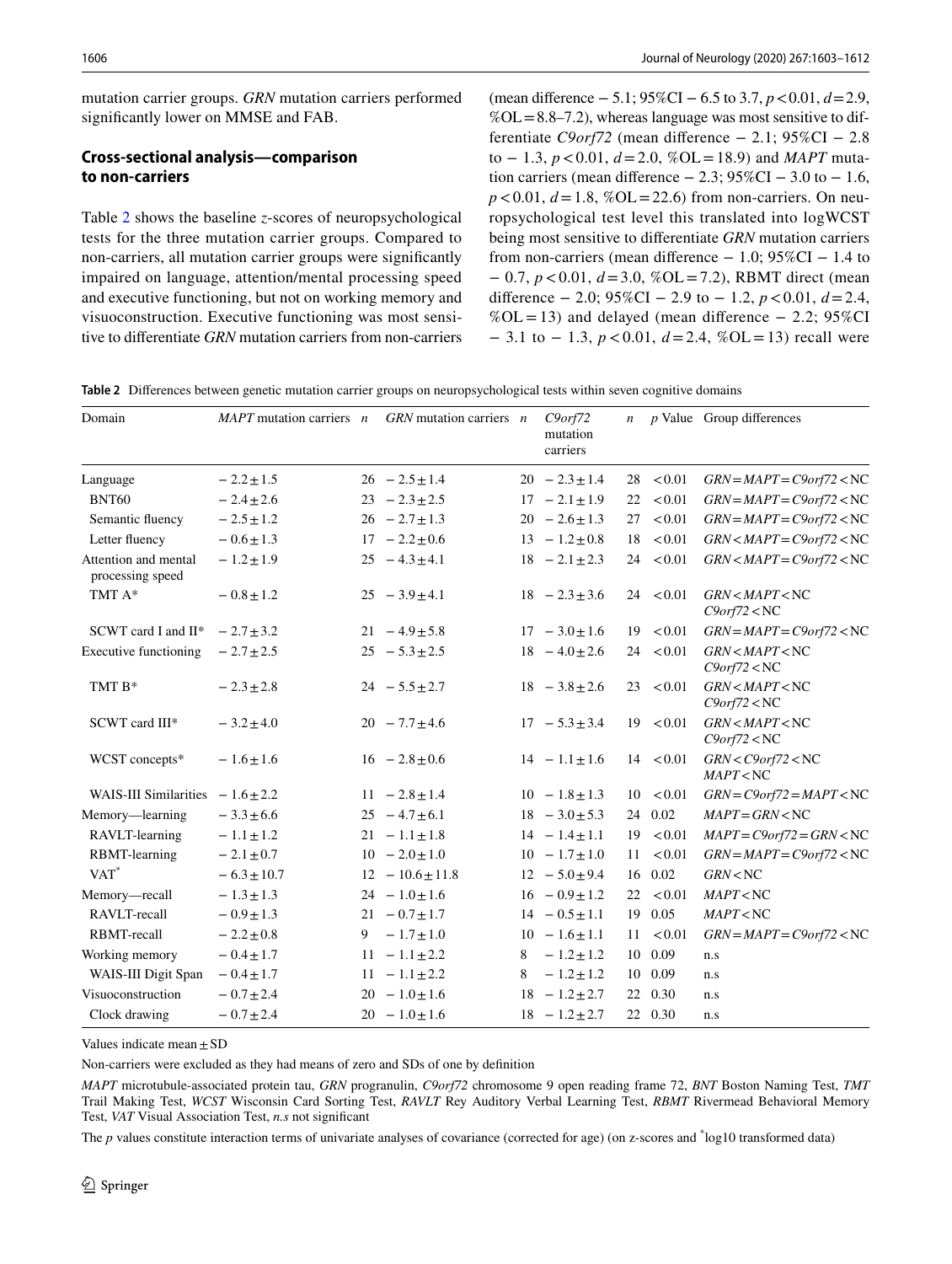mutation carrier groups. *GRN* mutation carriers performed signifcantly lower on MMSE and FAB.

# **Cross‑sectional analysis—comparison to non‑carriers**

Table [2](#page-3-0) shows the baseline *z*-scores of neuropsychological tests for the three mutation carrier groups. Compared to non-carriers, all mutation carrier groups were signifcantly impaired on language, attention/mental processing speed and executive functioning, but not on working memory and visuoconstruction. Executive functioning was most sensitive to diferentiate *GRN* mutation carriers from non-carriers (mean diference − 5.1; 95%CI − 6.5 to 3.7, *p*<0.01, *d*=2.9,  $%$ OL=8.8–7.2), whereas language was most sensitive to differentiate *C9orf72* (mean diference − 2.1; 95%CI − 2.8 to − 1.3, *p*<0.01, *d*=2.0, %OL=18.9) and *MAPT* mutation carriers (mean difference  $-2.3$ ; 95%CI  $-3.0$  to  $-1.6$ ,  $p < 0.01$ ,  $d = 1.8$ ,  $\%$ OL = 22.6) from non-carriers. On neuropsychological test level this translated into logWCST being most sensitive to diferentiate *GRN* mutation carriers from non-carriers (mean difference  $-1.0$ ; 95%CI  $-1.4$  to − 0.7, *p*<0.01, *d*=3.0, %OL=7.2), RBMT direct (mean diference − 2.0; 95%CI − 2.9 to − 1.2, *p*<0.01, *d*=2.4,  $%$ OL = 13) and delayed (mean difference – 2.2; 95%CI − 3.1 to − 1.3, *p*<0.01, *d*=2.4, %OL=13) recall were

<span id="page-3-0"></span>**Table 2** Diferences between genetic mutation carrier groups on neuropsychological tests within seven cognitive domains

| Domain                                   | $MAPT$ mutation carriers $n$ GRN mutation carriers $n$ |                      |   | $C9$ orf $72$<br>mutation<br>carriers |    |               | $n$ <i>p</i> Value Group differences |
|------------------------------------------|--------------------------------------------------------|----------------------|---|---------------------------------------|----|---------------|--------------------------------------|
| Language                                 | $-2.2 \pm 1.5$                                         | $26 - 2.5 \pm 1.4$   |   | $20 - 2.3 \pm 1.4$                    | 28 | < 0.01        | $GRN = MAPT = C9orf72 < NC$          |
| <b>BNT60</b>                             | $-2.4 \pm 2.6$                                         | $23 - 2.3 \pm 2.5$   |   | $17 - 2.1 \pm 1.9$                    | 22 | < 0.01        | $GRN = MAPT = C9orf72 < NC$          |
| Semantic fluency                         | $-2.5 \pm 1.2$                                         | $26 - 2.7 \pm 1.3$   |   | $20 - 2.6 \pm 1.3$                    | 27 | < 0.01        | $GRN = MAPT = C9orf72 < NC$          |
| Letter fluency                           | $-0.6 \pm 1.3$                                         | $17 - 2.2 \pm 0.6$   |   | $13 - 1.2 \pm 0.8$                    | 18 | < 0.01        | $GRN < MAPT = C9orf72 < NC$          |
| Attention and mental<br>processing speed | $-1.2 \pm 1.9$                                         | $25 - 4.3 \pm 4.1$   |   | $18 - 2.1 \pm 2.3$                    | 24 | < 0.01        | $GRN < MAPT = C9orf72 < NC$          |
| TMT A*                                   | $-0.8 \pm 1.2$                                         | $25 - 3.9 \pm 4.1$   |   | $18 - 2.3 \pm 3.6$                    |    | $24 \le 0.01$ | GRN < MAPT < NC<br>C9orf72 < NC      |
| SCWT card I and II*                      | $-2.7 \pm 3.2$                                         | $21 - 4.9 \pm 5.8$   |   | $17 - 3.0 \pm 1.6$                    | 19 | < 0.01        | $GRN = MAPT = C9orf72 < NC$          |
| <b>Executive functioning</b>             | $-2.7 \pm 2.5$                                         | $25 - 5.3 \pm 2.5$   |   | $18 - 4.0 \pm 2.6$                    | 24 | < 0.01        | GRN < MAPT < NC<br>C9orf72 < NC      |
| TMT B*                                   | $-2.3 \pm 2.8$                                         | $24 - 5.5 \pm 2.7$   |   | $18 - 3.8 \pm 2.6$                    | 23 | < 0.01        | GRN < MAPT < NC<br>C9orf72 < NC      |
| SCWT card III*                           | $-3.2 \pm 4.0$                                         | $20 - 7.7 \pm 4.6$   |   | $17 - 5.3 \pm 3.4$                    |    | 19 < 0.01     | GRN < MAPT < NC<br>C9orf72 < NC      |
| WCST concepts*                           | $-1.6 \pm 1.6$                                         | $16 - 2.8 \pm 0.6$   |   | $14 - 1.1 \pm 1.6$                    |    | 14 < 0.01     | $GRN < C9$ orf72 $<$ NC<br>MAPT < NC |
| WAIS-III Similarities $-1.6 \pm 2.2$     |                                                        | $11 - 2.8 \pm 1.4$   |   | $10 - 1.8 \pm 1.3$                    | 10 | < 0.01        | $GRN = C9orf72 = MAPT < NC$          |
| Memory—learning                          | $-3.3 \pm 6.6$                                         | $25 - 4.7 \pm 6.1$   |   | $18 - 3.0 \pm 5.3$                    | 24 | 0.02          | $MAPT = GRN < NC$                    |
| RAVLT-learning                           | $-1.1 \pm 1.2$                                         | $21 - 1.1 \pm 1.8$   |   | $14 - 1.4 \pm 1.1$                    | 19 | < 0.01        | $MAPT = C9orf72 = GRN < NC$          |
| RBMT-learning                            | $-2.1 \pm 0.7$                                         | $10 - 2.0 \pm 1.0$   |   | $10 - 1.7 \pm 1.0$                    | 11 | < 0.01        | $GRN = MAPT = C9orf72 < NC$          |
| $VAT^*$                                  | $-6.3 \pm 10.7$                                        | $12 - 10.6 \pm 11.8$ |   | $12 - 5.0 \pm 9.4$                    | 16 | 0.02          | GRN < NC                             |
| Memory-recall                            | $-1.3 \pm 1.3$                                         | $24 - 1.0 \pm 1.6$   |   | $16 - 0.9 \pm 1.2$                    | 22 | < 0.01        | MAPT < NC                            |
| RAVLT-recall                             | $-0.9 \pm 1.3$                                         | $21 - 0.7 \pm 1.7$   |   | $14 - 0.5 \pm 1.1$                    | 19 | 0.05          | MAPT < NC                            |
| RBMT-recall                              | $-2.2 \pm 0.8$                                         | 9 $-1.7 \pm 1.0$     |   | $10 - 1.6 \pm 1.1$                    | 11 | < 0.01        | $GRN = MAPT = C9orf72 < NC$          |
| Working memory                           | $-0.4 \pm 1.7$                                         | $11 - 1.1 \pm 2.2$   | 8 | $-1.2 \pm 1.2$                        |    | 10 0.09       | n.s                                  |
| WAIS-III Digit Span                      | $-0.4 \pm 1.7$                                         | $11 - 1.1 \pm 2.2$   | 8 | $-1.2 \pm 1.2$                        |    | 10 0.09       | n.s                                  |
| Visuoconstruction                        | $-0.7 \pm 2.4$                                         | $20 - 1.0 \pm 1.6$   |   | $18 - 1.2 \pm 2.7$                    |    | 22 0.30       | n.s                                  |
| Clock drawing                            | $-0.7 \pm 2.4$                                         | $20 - 1.0 \pm 1.6$   |   | $18 - 1.2 \pm 2.7$                    |    | 22 0.30       | n.s                                  |

Values indicate mean  $\pm$  SD

Non-carriers were excluded as they had means of zero and SDs of one by defnition

*MAPT* microtubule-associated protein tau, *GRN* progranulin, *C9orf72* chromosome 9 open reading frame 72, *BNT* Boston Naming Test, *TMT* Trail Making Test, *WCST* Wisconsin Card Sorting Test, *RAVLT* Rey Auditory Verbal Learning Test, *RBMT* Rivermead Behavioral Memory Test, *VAT* Visual Association Test, *n.s* not signifcant

The *p* values constitute interaction terms of univariate analyses of covariance (corrected for age) (on z-scores and  $\log 10$  transformed data)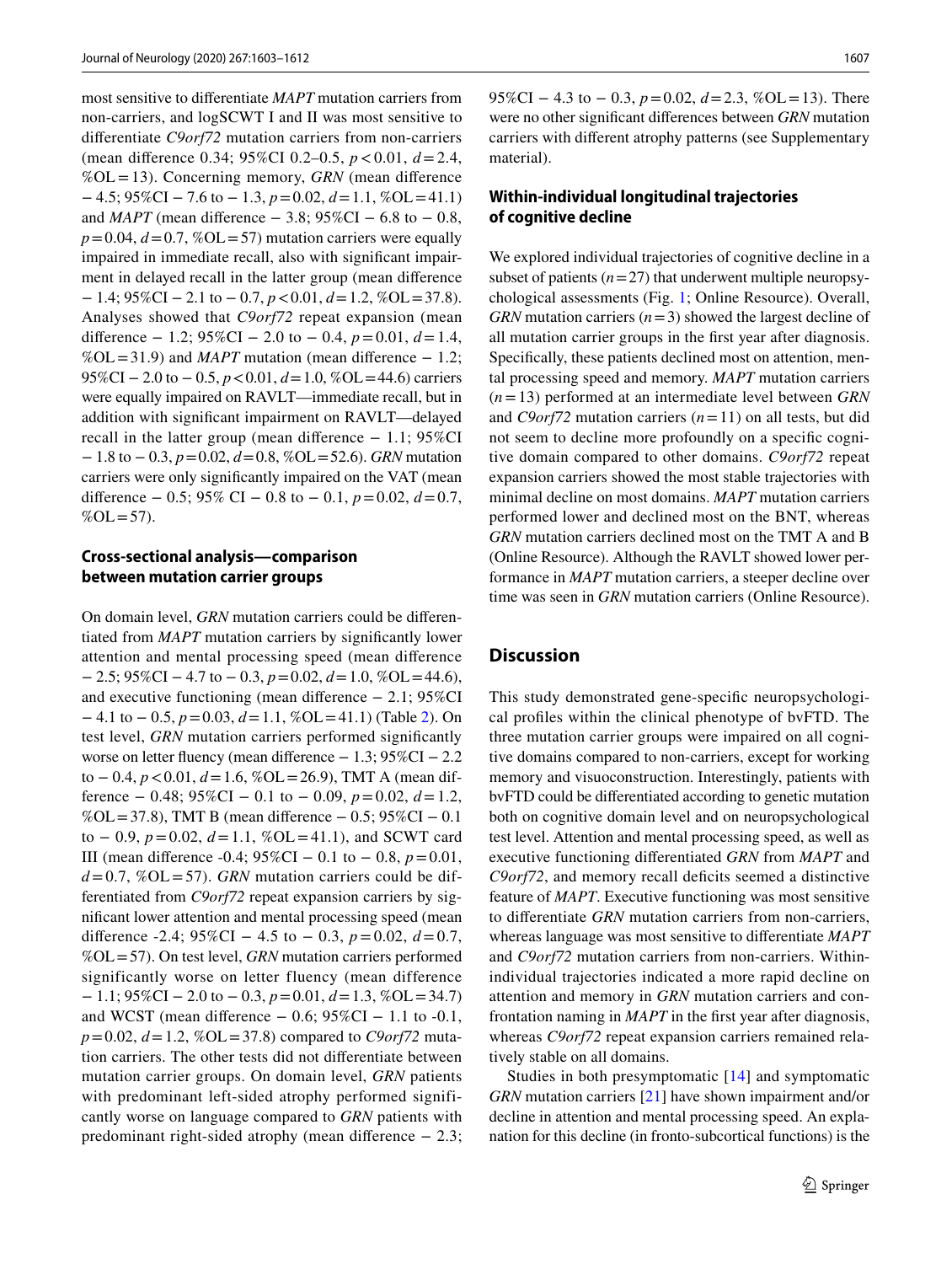most sensitive to diferentiate *MAPT* mutation carriers from non-carriers, and logSCWT I and II was most sensitive to diferentiate *C9orf72* mutation carriers from non-carriers (mean diference 0.34; 95%CI 0.2–0.5, *p*<0.01, *d*=2.4, %OL=13). Concerning memory, *GRN* (mean diference − 4.5; 95%CI − 7.6 to − 1.3, *p*=0.02, *d*=1.1, %OL=41.1) and *MAPT* (mean difference  $-3.8$ ; 95%CI  $-6.8$  to  $-0.8$ ,  $p=0.04$ ,  $d=0.7$ , %OL=57) mutation carriers were equally impaired in immediate recall, also with signifcant impairment in delayed recall in the latter group (mean diference − 1.4; 95%CI − 2.1 to − 0.7, *p*<0.01, *d*=1.2, %OL=37.8). Analyses showed that *C9orf72* repeat expansion (mean diference − 1.2; 95%CI − 2.0 to − 0.4, *p*=0.01, *d*=1.4,  $% O L = 31.9$ ) and *MAPT* mutation (mean difference  $- 1.2$ ; 95%CI − 2.0 to − 0.5, *p* < 0.01, *d* = 1.0, %OL = 44.6) carriers were equally impaired on RAVLT—immediate recall, but in addition with signifcant impairment on RAVLT—delayed recall in the latter group (mean diference − 1.1; 95%CI − 1.8 to − 0.3, *p*=0.02, *d*=0.8, %OL=52.6). *GRN* mutation carriers were only signifcantly impaired on the VAT (mean diference − 0.5; 95% CI − 0.8 to − 0.1, *p*=0.02, *d*=0.7,  $%OL = 57$ ).

#### **Cross‑sectional analysis—comparison between mutation carrier groups**

On domain level, *GRN* mutation carriers could be diferentiated from *MAPT* mutation carriers by significantly lower attention and mental processing speed (mean diference − 2.5; 95%CI − 4.7 to − 0.3, *p*=0.02, *d*=1.0, %OL=44.6), and executive functioning (mean diference − 2.1; 95%CI − 4.1 to − 0.5, *p*=0.03, *d*=1.1, %OL=41.1) (Table [2\)](#page-3-0). On test level, *GRN* mutation carriers performed signifcantly worse on letter fuency (mean diference − 1.3; 95%CI − 2.2 to − 0.4, *p* < 0.01, *d* = 1.6, %OL = 26.9), TMT A (mean difference − 0.48; 95%CI − 0.1 to − 0.09, *p*=0.02, *d*=1.2, %OL=37.8), TMT B (mean diference − 0.5; 95%CI − 0.1 to − 0.9, *p*=0.02, *d*=1.1, %OL=41.1), and SCWT card III (mean diference -0.4; 95%CI − 0.1 to − 0.8, *p*=0.01,  $d=0.7$ , %OL=57). *GRN* mutation carriers could be differentiated from *C9orf72* repeat expansion carriers by signifcant lower attention and mental processing speed (mean difference  $-2.4$ ;  $95\%$ CI  $-4.5$  to  $-0.3$ ,  $p = 0.02$ ,  $d = 0.7$ , %OL=57). On test level, *GRN* mutation carriers performed significantly worse on letter fluency (mean difference − 1.1; 95%CI − 2.0 to − 0.3, *p*=0.01, *d*=1.3, %OL=34.7) and WCST (mean difference  $-0.6$ ; 95%CI  $-1.1$  to  $-0.1$ , *p*=0.02, *d*=1.2, %OL=37.8) compared to *C9orf72* mutation carriers. The other tests did not diferentiate between mutation carrier groups. On domain level, *GRN* patients with predominant left-sided atrophy performed significantly worse on language compared to *GRN* patients with predominant right-sided atrophy (mean diference − 2.3; 95%CI − 4.3 to − 0.3, *p* = 0.02, *d* = 2.3, %OL = 13). There were no other signifcant diferences between *GRN* mutation carriers with diferent atrophy patterns (see Supplementary material).

## **Within‑individual longitudinal trajectories of cognitive decline**

We explored individual trajectories of cognitive decline in a subset of patients  $(n=27)$  that underwent multiple neuropsychological assessments (Fig. [1;](#page-5-0) Online Resource). Overall, *GRN* mutation carriers (*n*=3) showed the largest decline of all mutation carrier groups in the frst year after diagnosis. Specifcally, these patients declined most on attention, mental processing speed and memory. *MAPT* mutation carriers (*n*=13) performed at an intermediate level between *GRN* and *C9orf72* mutation carriers (*n*=11) on all tests, but did not seem to decline more profoundly on a specifc cognitive domain compared to other domains. *C9orf72* repeat expansion carriers showed the most stable trajectories with minimal decline on most domains. *MAPT* mutation carriers performed lower and declined most on the BNT, whereas *GRN* mutation carriers declined most on the TMT A and B (Online Resource). Although the RAVLT showed lower performance in *MAPT* mutation carriers, a steeper decline over time was seen in *GRN* mutation carriers (Online Resource).

#### **Discussion**

This study demonstrated gene-specifc neuropsychological profles within the clinical phenotype of bvFTD. The three mutation carrier groups were impaired on all cognitive domains compared to non-carriers, except for working memory and visuoconstruction. Interestingly, patients with bvFTD could be diferentiated according to genetic mutation both on cognitive domain level and on neuropsychological test level. Attention and mental processing speed, as well as executive functioning diferentiated *GRN* from *MAPT* and C9orf72, and memory recall deficits seemed a distinctive feature of *MAPT*. Executive functioning was most sensitive to diferentiate *GRN* mutation carriers from non-carriers, whereas language was most sensitive to diferentiate *MAPT* and *C9orf72* mutation carriers from non-carriers. Withinindividual trajectories indicated a more rapid decline on attention and memory in *GRN* mutation carriers and confrontation naming in *MAPT* in the frst year after diagnosis, whereas *C9orf72* repeat expansion carriers remained relatively stable on all domains.

Studies in both presymptomatic [\[14\]](#page-8-20) and symptomatic *GRN* mutation carriers [[21\]](#page-8-4) have shown impairment and/or decline in attention and mental processing speed. An explanation for this decline (in fronto-subcortical functions) is the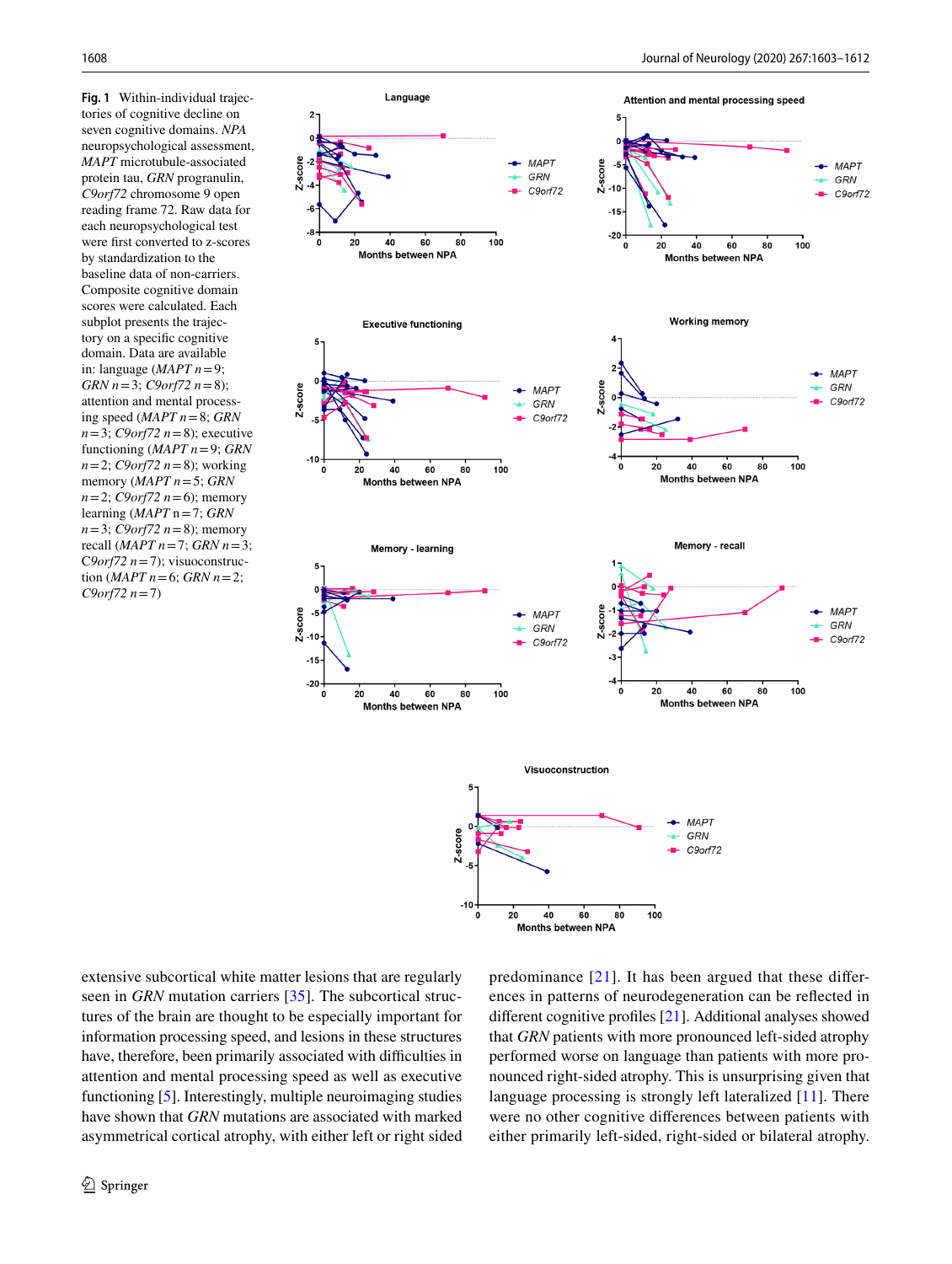<span id="page-5-0"></span>**Fig. 1** Within-individual trajectories of cognitive decline on seven cognitive domains. *NPA* neuropsychological assessment, *MAPT* microtubule-associated protein tau, *GRN* progranulin, *C9orf72* chromosome 9 open reading frame 72. Raw data for each neuropsychological test were frst converted to z-scores by standardization to the baseline data of non-carriers. Composite cognitive domain scores were calculated. Each subplot presents the trajectory on a specifc cognitive domain. Data are available in: language (*MAPT n*=9; *GRN n*=3; *C9orf72 n*=8); attention and mental processing speed (*MAPT n*=8; *GRN n*=3; *C9orf72 n*=8); executive functioning (*MAPT n*=9; *GRN n*=2; *C9orf72 n*=8); working memory (*MAPT n*=5; *GRN n*=2; *C9orf72 n*=6); memory learning (*MAPT* n=7; *GRN n*=3; *C9orf72 n*=8); memory recall (*MAPT n*=7; *GRN n*=3; C*9orf72 n*=7); visuoconstruction (*MAPT*  $n=6$ ; *GRN*  $n=2$ ; *C9orf72 n*=7)



extensive subcortical white matter lesions that are regularly seen in *GRN* mutation carriers [\[35](#page-9-5)]. The subcortical structures of the brain are thought to be especially important for information processing speed, and lesions in these structures have, therefore, been primarily associated with difficulties in attention and mental processing speed as well as executive functioning [\[5](#page-8-21)]. Interestingly, multiple neuroimaging studies have shown that *GRN* mutations are associated with marked asymmetrical cortical atrophy, with either left or right sided predominance [\[21\]](#page-8-4). It has been argued that these diferences in patterns of neurodegeneration can be refected in diferent cognitive profles [\[21](#page-8-4)]. Additional analyses showed that *GRN* patients with more pronounced left-sided atrophy performed worse on language than patients with more pronounced right-sided atrophy. This is unsurprising given that language processing is strongly left lateralized [[11\]](#page-8-22). There were no other cognitive diferences between patients with either primarily left-sided, right-sided or bilateral atrophy.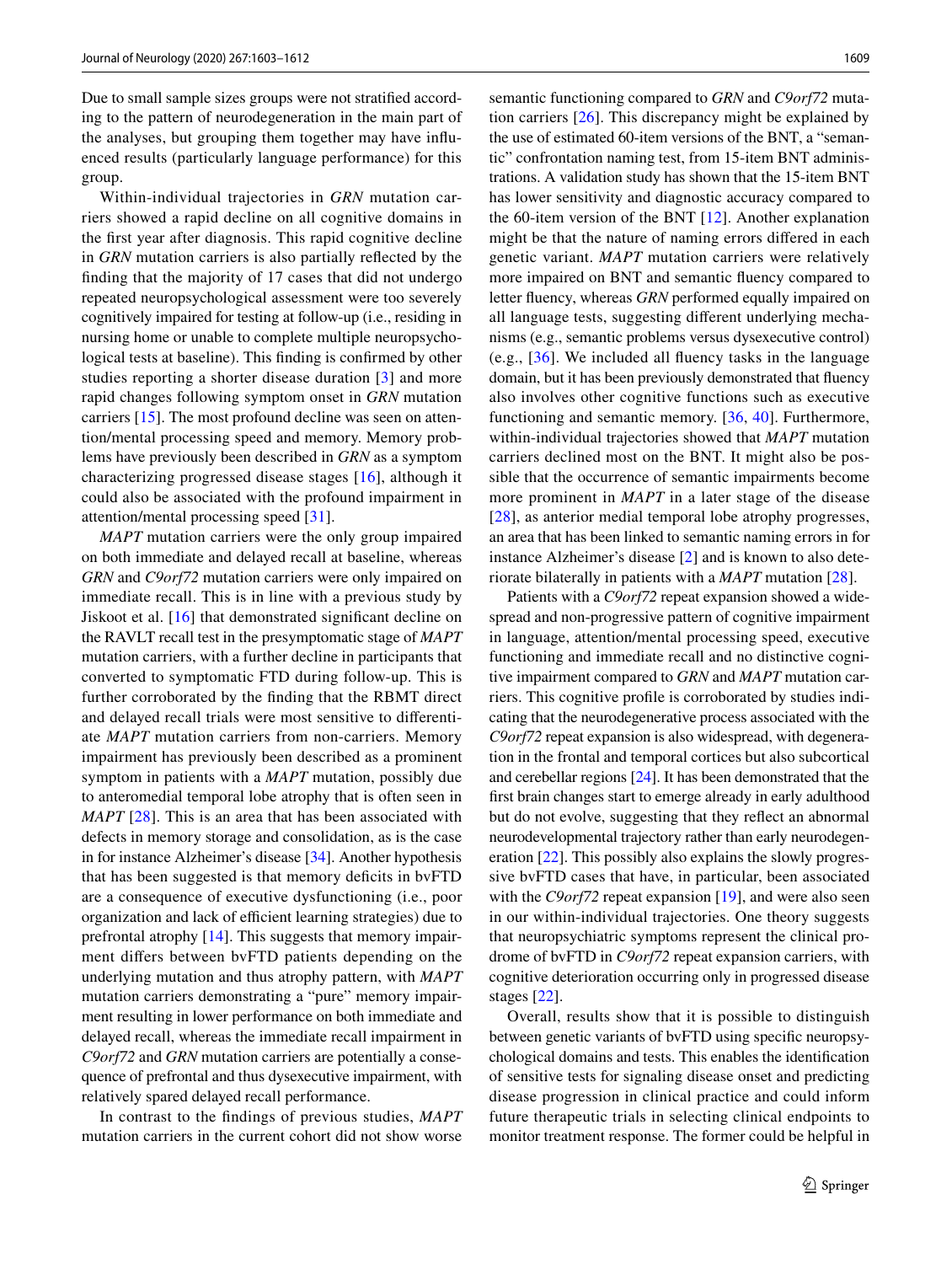Due to small sample sizes groups were not stratifed according to the pattern of neurodegeneration in the main part of the analyses, but grouping them together may have infuenced results (particularly language performance) for this group.

Within-individual trajectories in *GRN* mutation carriers showed a rapid decline on all cognitive domains in the frst year after diagnosis. This rapid cognitive decline in *GRN* mutation carriers is also partially refected by the fnding that the majority of 17 cases that did not undergo repeated neuropsychological assessment were too severely cognitively impaired for testing at follow-up (i.e., residing in nursing home or unable to complete multiple neuropsychological tests at baseline). This fnding is confrmed by other studies reporting a shorter disease duration [\[3\]](#page-8-23) and more rapid changes following symptom onset in *GRN* mutation carriers [\[15\]](#page-8-24). The most profound decline was seen on attention/mental processing speed and memory. Memory problems have previously been described in *GRN* as a symptom characterizing progressed disease stages [[16](#page-8-25)], although it could also be associated with the profound impairment in attention/mental processing speed [[31\]](#page-8-26).

*MAPT* mutation carriers were the only group impaired on both immediate and delayed recall at baseline, whereas *GRN* and *C9orf72* mutation carriers were only impaired on immediate recall. This is in line with a previous study by Jiskoot et al. [[16\]](#page-8-25) that demonstrated signifcant decline on the RAVLT recall test in the presymptomatic stage of *MAPT* mutation carriers, with a further decline in participants that converted to symptomatic FTD during follow-up. This is further corroborated by the fnding that the RBMT direct and delayed recall trials were most sensitive to diferentiate *MAPT* mutation carriers from non-carriers. Memory impairment has previously been described as a prominent symptom in patients with a *MAPT* mutation, possibly due to anteromedial temporal lobe atrophy that is often seen in *MAPT* [\[28](#page-8-27)]. This is an area that has been associated with defects in memory storage and consolidation, as is the case in for instance Alzheimer's disease [\[34\]](#page-9-6). Another hypothesis that has been suggested is that memory deficits in bvFTD are a consequence of executive dysfunctioning (i.e., poor organization and lack of efficient learning strategies) due to prefrontal atrophy [[14](#page-8-20)]. This suggests that memory impairment difers between bvFTD patients depending on the underlying mutation and thus atrophy pattern, with *MAPT* mutation carriers demonstrating a "pure" memory impairment resulting in lower performance on both immediate and delayed recall, whereas the immediate recall impairment in *C9orf72* and *GRN* mutation carriers are potentially a consequence of prefrontal and thus dysexecutive impairment, with relatively spared delayed recall performance.

In contrast to the fndings of previous studies, *MAPT* mutation carriers in the current cohort did not show worse

semantic functioning compared to *GRN* and *C9orf72* mutation carriers [[26](#page-8-7)]. This discrepancy might be explained by the use of estimated 60-item versions of the BNT, a "semantic" confrontation naming test, from 15-item BNT administrations. A validation study has shown that the 15-item BNT has lower sensitivity and diagnostic accuracy compared to the 60-item version of the BNT [[12\]](#page-8-28). Another explanation might be that the nature of naming errors difered in each genetic variant. *MAPT* mutation carriers were relatively more impaired on BNT and semantic fuency compared to letter fuency, whereas *GRN* performed equally impaired on all language tests, suggesting diferent underlying mechanisms (e.g., semantic problems versus dysexecutive control) (e.g., [[36](#page-9-7)]. We included all fuency tasks in the language domain, but it has been previously demonstrated that fuency also involves other cognitive functions such as executive functioning and semantic memory. [\[36,](#page-9-7) [40](#page-9-8)]. Furthermore, within-individual trajectories showed that *MAPT* mutation carriers declined most on the BNT. It might also be possible that the occurrence of semantic impairments become more prominent in *MAPT* in a later stage of the disease [[28\]](#page-8-27), as anterior medial temporal lobe atrophy progresses, an area that has been linked to semantic naming errors in for instance Alzheimer's disease [\[2\]](#page-8-29) and is known to also deteriorate bilaterally in patients with a *MAPT* mutation [[28\]](#page-8-27).

Patients with a *C9orf72* repeat expansion showed a widespread and non-progressive pattern of cognitive impairment in language, attention/mental processing speed, executive functioning and immediate recall and no distinctive cognitive impairment compared to *GRN* and *MAPT* mutation carriers. This cognitive profle is corroborated by studies indicating that the neurodegenerative process associated with the *C9orf72* repeat expansion is also widespread, with degeneration in the frontal and temporal cortices but also subcortical and cerebellar regions [[24\]](#page-8-6). It has been demonstrated that the frst brain changes start to emerge already in early adulthood but do not evolve, suggesting that they refect an abnormal neurodevelopmental trajectory rather than early neurodegeneration [[22\]](#page-8-30). This possibly also explains the slowly progressive bvFTD cases that have, in particular, been associated with the *C9orf72* repeat expansion [[19](#page-8-31)], and were also seen in our within-individual trajectories. One theory suggests that neuropsychiatric symptoms represent the clinical prodrome of bvFTD in *C9orf72* repeat expansion carriers, with cognitive deterioration occurring only in progressed disease stages [[22\]](#page-8-30).

Overall, results show that it is possible to distinguish between genetic variants of bvFTD using specifc neuropsychological domains and tests. This enables the identifcation of sensitive tests for signaling disease onset and predicting disease progression in clinical practice and could inform future therapeutic trials in selecting clinical endpoints to monitor treatment response. The former could be helpful in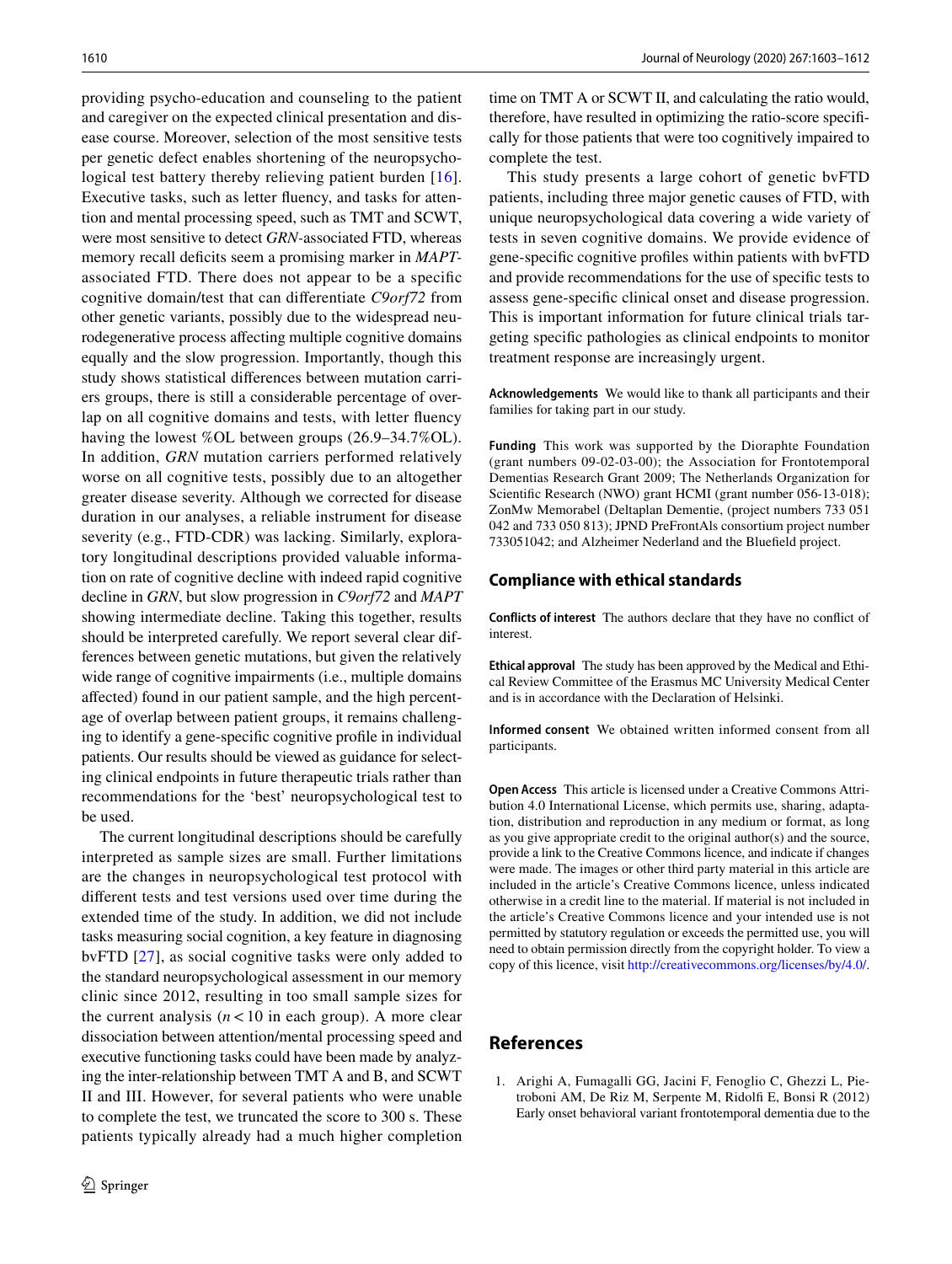providing psycho-education and counseling to the patient and caregiver on the expected clinical presentation and disease course. Moreover, selection of the most sensitive tests per genetic defect enables shortening of the neuropsychological test battery thereby relieving patient burden [[16](#page-8-25)]. Executive tasks, such as letter fuency, and tasks for attention and mental processing speed, such as TMT and SCWT, were most sensitive to detect *GRN-*associated FTD, whereas memory recall deficits seem a promising marker in *MAPT*associated FTD. There does not appear to be a specifc cognitive domain/test that can diferentiate *C9orf72* from other genetic variants, possibly due to the widespread neurodegenerative process afecting multiple cognitive domains equally and the slow progression. Importantly, though this study shows statistical diferences between mutation carriers groups, there is still a considerable percentage of overlap on all cognitive domains and tests, with letter fuency having the lowest %OL between groups (26.9–34.7%OL). In addition, *GRN* mutation carriers performed relatively worse on all cognitive tests, possibly due to an altogether greater disease severity. Although we corrected for disease duration in our analyses, a reliable instrument for disease severity (e.g., FTD-CDR) was lacking. Similarly, exploratory longitudinal descriptions provided valuable information on rate of cognitive decline with indeed rapid cognitive decline in *GRN*, but slow progression in *C9orf72* and *MAPT* showing intermediate decline. Taking this together, results should be interpreted carefully. We report several clear differences between genetic mutations, but given the relatively wide range of cognitive impairments (i.e., multiple domains afected) found in our patient sample, and the high percentage of overlap between patient groups, it remains challenging to identify a gene-specifc cognitive profle in individual patients. Our results should be viewed as guidance for selecting clinical endpoints in future therapeutic trials rather than recommendations for the 'best' neuropsychological test to be used.

The current longitudinal descriptions should be carefully interpreted as sample sizes are small. Further limitations are the changes in neuropsychological test protocol with diferent tests and test versions used over time during the extended time of the study. In addition, we did not include tasks measuring social cognition, a key feature in diagnosing bvFTD [[27](#page-8-1)], as social cognitive tasks were only added to the standard neuropsychological assessment in our memory clinic since 2012, resulting in too small sample sizes for the current analysis  $(n<10$  in each group). A more clear dissociation between attention/mental processing speed and executive functioning tasks could have been made by analyzing the inter-relationship between TMT A and B, and SCWT II and III. However, for several patients who were unable to complete the test, we truncated the score to 300 s. These patients typically already had a much higher completion time on TMT A or SCWT II, and calculating the ratio would, therefore, have resulted in optimizing the ratio-score specifcally for those patients that were too cognitively impaired to complete the test.

This study presents a large cohort of genetic bvFTD patients, including three major genetic causes of FTD, with unique neuropsychological data covering a wide variety of tests in seven cognitive domains. We provide evidence of gene-specifc cognitive profles within patients with bvFTD and provide recommendations for the use of specifc tests to assess gene-specifc clinical onset and disease progression. This is important information for future clinical trials targeting specifc pathologies as clinical endpoints to monitor treatment response are increasingly urgent.

**Acknowledgements** We would like to thank all participants and their families for taking part in our study.

**Funding** This work was supported by the Dioraphte Foundation (grant numbers 09-02-03-00); the Association for Frontotemporal Dementias Research Grant 2009; The Netherlands Organization for Scientifc Research (NWO) grant HCMI (grant number 056-13-018); ZonMw Memorabel (Deltaplan Dementie, (project numbers 733 051 042 and 733 050 813); JPND PreFrontAls consortium project number 733051042; and Alzheimer Nederland and the Bluefeld project.

#### **Compliance with ethical standards**

**Conflicts of interest** The authors declare that they have no confict of interest.

**Ethical approval** The study has been approved by the Medical and Ethical Review Committee of the Erasmus MC University Medical Center and is in accordance with the Declaration of Helsinki.

**Informed consent** We obtained written informed consent from all participants.

**Open Access** This article is licensed under a Creative Commons Attribution 4.0 International License, which permits use, sharing, adaptation, distribution and reproduction in any medium or format, as long as you give appropriate credit to the original author(s) and the source, provide a link to the Creative Commons licence, and indicate if changes were made. The images or other third party material in this article are included in the article's Creative Commons licence, unless indicated otherwise in a credit line to the material. If material is not included in the article's Creative Commons licence and your intended use is not permitted by statutory regulation or exceeds the permitted use, you will need to obtain permission directly from the copyright holder. To view a copy of this licence, visit<http://creativecommons.org/licenses/by/4.0/>.

## **References**

<span id="page-7-0"></span>1. Arighi A, Fumagalli GG, Jacini F, Fenoglio C, Ghezzi L, Pietroboni AM, De Riz M, Serpente M, Ridolf E, Bonsi R (2012) Early onset behavioral variant frontotemporal dementia due to the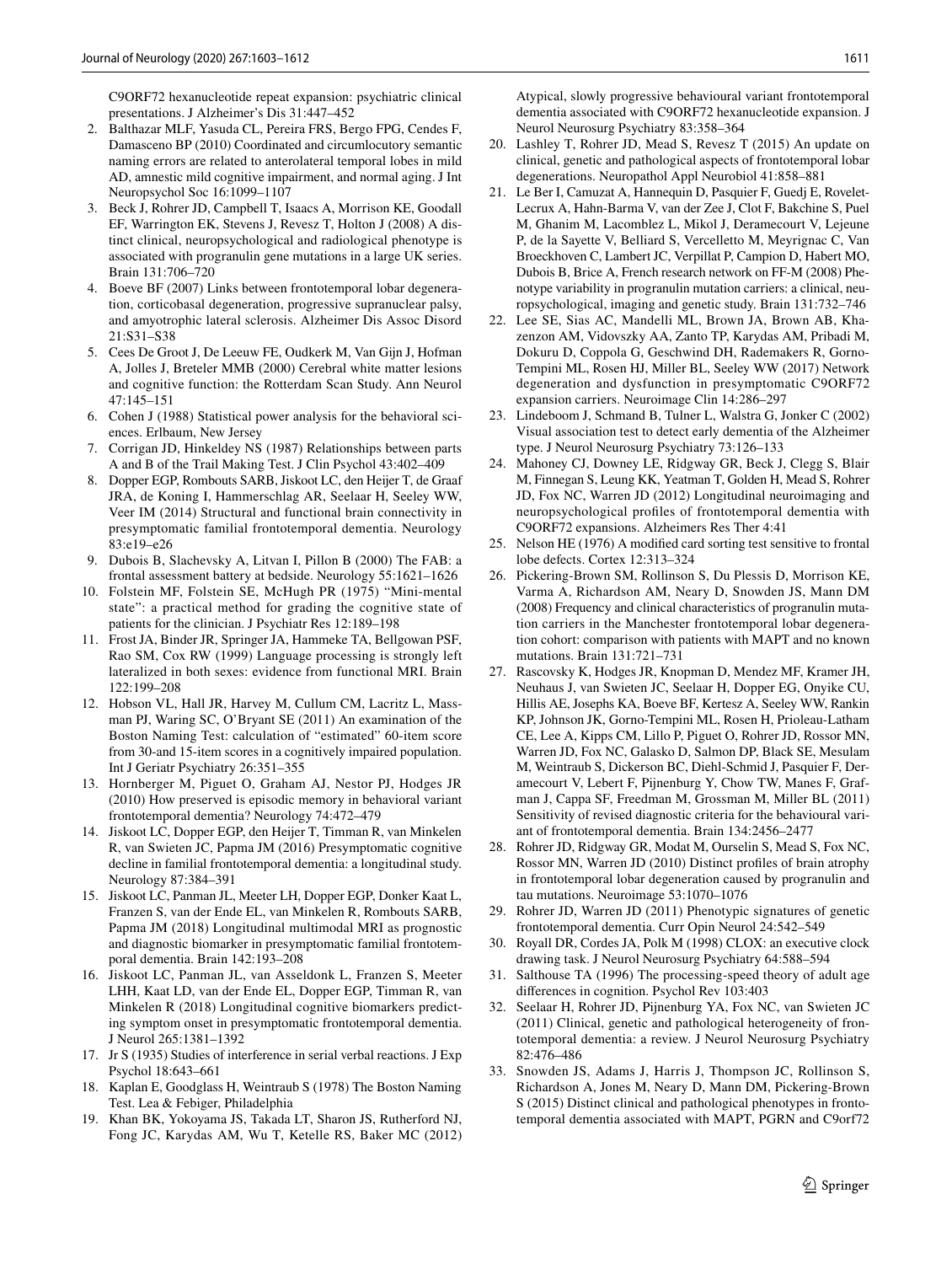C9ORF72 hexanucleotide repeat expansion: psychiatric clinical presentations. J Alzheimer's Dis 31:447–452

- <span id="page-8-29"></span>2. Balthazar MLF, Yasuda CL, Pereira FRS, Bergo FPG, Cendes F, Damasceno BP (2010) Coordinated and circumlocutory semantic naming errors are related to anterolateral temporal lobes in mild AD, amnestic mild cognitive impairment, and normal aging. J Int Neuropsychol Soc 16:1099–1107
- <span id="page-8-23"></span>3. Beck J, Rohrer JD, Campbell T, Isaacs A, Morrison KE, Goodall EF, Warrington EK, Stevens J, Revesz T, Holton J (2008) A distinct clinical, neuropsychological and radiological phenotype is associated with progranulin gene mutations in a large UK series. Brain 131:706–720
- <span id="page-8-5"></span>4. Boeve BF (2007) Links between frontotemporal lobar degeneration, corticobasal degeneration, progressive supranuclear palsy, and amyotrophic lateral sclerosis. Alzheimer Dis Assoc Disord 21:S31–S38
- <span id="page-8-21"></span>5. Cees De Groot J, De Leeuw FE, Oudkerk M, Van Gijn J, Hofman A, Jolles J, Breteler MMB (2000) Cerebral white matter lesions and cognitive function: the Rotterdam Scan Study. Ann Neurol 47:145–151
- <span id="page-8-19"></span>6. Cohen J (1988) Statistical power analysis for the behavioral sciences. Erlbaum, New Jersey
- <span id="page-8-13"></span>7. Corrigan JD, Hinkeldey NS (1987) Relationships between parts A and B of the Trail Making Test. J Clin Psychol 43:402–409
- <span id="page-8-10"></span>8. Dopper EGP, Rombouts SARB, Jiskoot LC, den Heijer T, de Graaf JRA, de Koning I, Hammerschlag AR, Seelaar H, Seeley WW, Veer IM (2014) Structural and functional brain connectivity in presymptomatic familial frontotemporal dementia. Neurology 83:e19–e26
- <span id="page-8-12"></span>9. Dubois B, Slachevsky A, Litvan I, Pillon B (2000) The FAB: a frontal assessment battery at bedside. Neurology 55:1621–1626
- <span id="page-8-11"></span>10. Folstein MF, Folstein SE, McHugh PR (1975) "Mini-mental state": a practical method for grading the cognitive state of patients for the clinician. J Psychiatr Res 12:189–198
- <span id="page-8-22"></span>11. Frost JA, Binder JR, Springer JA, Hammeke TA, Bellgowan PSF, Rao SM, Cox RW (1999) Language processing is strongly left lateralized in both sexes: evidence from functional MRI. Brain 122:199–208
- <span id="page-8-28"></span>12. Hobson VL, Hall JR, Harvey M, Cullum CM, Lacritz L, Massman PJ, Waring SC, O'Bryant SE (2011) An examination of the Boston Naming Test: calculation of "estimated" 60-item score from 30-and 15-item scores in a cognitively impaired population. Int J Geriatr Psychiatry 26:351–355
- <span id="page-8-2"></span>13. Hornberger M, Piguet O, Graham AJ, Nestor PJ, Hodges JR (2010) How preserved is episodic memory in behavioral variant frontotemporal dementia? Neurology 74:472–479
- <span id="page-8-20"></span>14. Jiskoot LC, Dopper EGP, den Heijer T, Timman R, van Minkelen R, van Swieten JC, Papma JM (2016) Presymptomatic cognitive decline in familial frontotemporal dementia: a longitudinal study. Neurology 87:384–391
- <span id="page-8-24"></span>15. Jiskoot LC, Panman JL, Meeter LH, Dopper EGP, Donker Kaat L, Franzen S, van der Ende EL, van Minkelen R, Rombouts SARB, Papma JM (2018) Longitudinal multimodal MRI as prognostic and diagnostic biomarker in presymptomatic familial frontotemporal dementia. Brain 142:193–208
- <span id="page-8-25"></span>16. Jiskoot LC, Panman JL, van Asseldonk L, Franzen S, Meeter LHH, Kaat LD, van der Ende EL, Dopper EGP, Timman R, van Minkelen R (2018) Longitudinal cognitive biomarkers predicting symptom onset in presymptomatic frontotemporal dementia. J Neurol 265:1381–1392
- <span id="page-8-14"></span>17. Jr S (1935) Studies of interference in serial verbal reactions. J Exp Psychol 18:643–661
- <span id="page-8-16"></span>18. Kaplan E, Goodglass H, Weintraub S (1978) The Boston Naming Test. Lea & Febiger, Philadelphia
- <span id="page-8-31"></span>19. Khan BK, Yokoyama JS, Takada LT, Sharon JS, Rutherford NJ, Fong JC, Karydas AM, Wu T, Ketelle RS, Baker MC (2012)

Atypical, slowly progressive behavioural variant frontotemporal dementia associated with C9ORF72 hexanucleotide expansion. J Neurol Neurosurg Psychiatry 83:358–364

- <span id="page-8-3"></span>20. Lashley T, Rohrer JD, Mead S, Revesz T (2015) An update on clinical, genetic and pathological aspects of frontotemporal lobar degenerations. Neuropathol Appl Neurobiol 41:858–881
- <span id="page-8-4"></span>21. Le Ber I, Camuzat A, Hannequin D, Pasquier F, Guedj E, Rovelet-Lecrux A, Hahn-Barma V, van der Zee J, Clot F, Bakchine S, Puel M, Ghanim M, Lacomblez L, Mikol J, Deramecourt V, Lejeune P, de la Sayette V, Belliard S, Vercelletto M, Meyrignac C, Van Broeckhoven C, Lambert JC, Verpillat P, Campion D, Habert MO, Dubois B, Brice A, French research network on FF-M (2008) Phenotype variability in progranulin mutation carriers: a clinical, neuropsychological, imaging and genetic study. Brain 131:732–746
- <span id="page-8-30"></span>22. Lee SE, Sias AC, Mandelli ML, Brown JA, Brown AB, Khazenzon AM, Vidovszky AA, Zanto TP, Karydas AM, Pribadi M, Dokuru D, Coppola G, Geschwind DH, Rademakers R, Gorno-Tempini ML, Rosen HJ, Miller BL, Seeley WW (2017) Network degeneration and dysfunction in presymptomatic C9ORF72 expansion carriers. Neuroimage Clin 14:286–297
- <span id="page-8-17"></span>23. Lindeboom J, Schmand B, Tulner L, Walstra G, Jonker C (2002) Visual association test to detect early dementia of the Alzheimer type. J Neurol Neurosurg Psychiatry 73:126–133
- <span id="page-8-6"></span>24. Mahoney CJ, Downey LE, Ridgway GR, Beck J, Clegg S, Blair M, Finnegan S, Leung KK, Yeatman T, Golden H, Mead S, Rohrer JD, Fox NC, Warren JD (2012) Longitudinal neuroimaging and neuropsychological profles of frontotemporal dementia with C9ORF72 expansions. Alzheimers Res Ther 4:41
- <span id="page-8-15"></span>25. Nelson HE (1976) A modifed card sorting test sensitive to frontal lobe defects. Cortex 12:313–324
- <span id="page-8-7"></span>26. Pickering-Brown SM, Rollinson S, Du Plessis D, Morrison KE, Varma A, Richardson AM, Neary D, Snowden JS, Mann DM (2008) Frequency and clinical characteristics of progranulin mutation carriers in the Manchester frontotemporal lobar degeneration cohort: comparison with patients with MAPT and no known mutations. Brain 131:721–731
- <span id="page-8-1"></span>27. Rascovsky K, Hodges JR, Knopman D, Mendez MF, Kramer JH, Neuhaus J, van Swieten JC, Seelaar H, Dopper EG, Onyike CU, Hillis AE, Josephs KA, Boeve BF, Kertesz A, Seeley WW, Rankin KP, Johnson JK, Gorno-Tempini ML, Rosen H, Prioleau-Latham CE, Lee A, Kipps CM, Lillo P, Piguet O, Rohrer JD, Rossor MN, Warren JD, Fox NC, Galasko D, Salmon DP, Black SE, Mesulam M, Weintraub S, Dickerson BC, Diehl-Schmid J, Pasquier F, Deramecourt V, Lebert F, Pijnenburg Y, Chow TW, Manes F, Grafman J, Cappa SF, Freedman M, Grossman M, Miller BL (2011) Sensitivity of revised diagnostic criteria for the behavioural variant of frontotemporal dementia. Brain 134:2456–2477
- <span id="page-8-27"></span>28. Rohrer JD, Ridgway GR, Modat M, Ourselin S, Mead S, Fox NC, Rossor MN, Warren JD (2010) Distinct profles of brain atrophy in frontotemporal lobar degeneration caused by progranulin and tau mutations. Neuroimage 53:1070–1076
- <span id="page-8-0"></span>29. Rohrer JD, Warren JD (2011) Phenotypic signatures of genetic frontotemporal dementia. Curr Opin Neurol 24:542–549
- <span id="page-8-18"></span>30. Royall DR, Cordes JA, Polk M (1998) CLOX: an executive clock drawing task. J Neurol Neurosurg Psychiatry 64:588–594
- <span id="page-8-26"></span>31. Salthouse TA (1996) The processing-speed theory of adult age diferences in cognition. Psychol Rev 103:403
- <span id="page-8-9"></span>32. Seelaar H, Rohrer JD, Pijnenburg YA, Fox NC, van Swieten JC (2011) Clinical, genetic and pathological heterogeneity of frontotemporal dementia: a review. J Neurol Neurosurg Psychiatry 82:476–486
- <span id="page-8-8"></span>33. Snowden JS, Adams J, Harris J, Thompson JC, Rollinson S, Richardson A, Jones M, Neary D, Mann DM, Pickering-Brown S (2015) Distinct clinical and pathological phenotypes in frontotemporal dementia associated with MAPT, PGRN and C9orf72